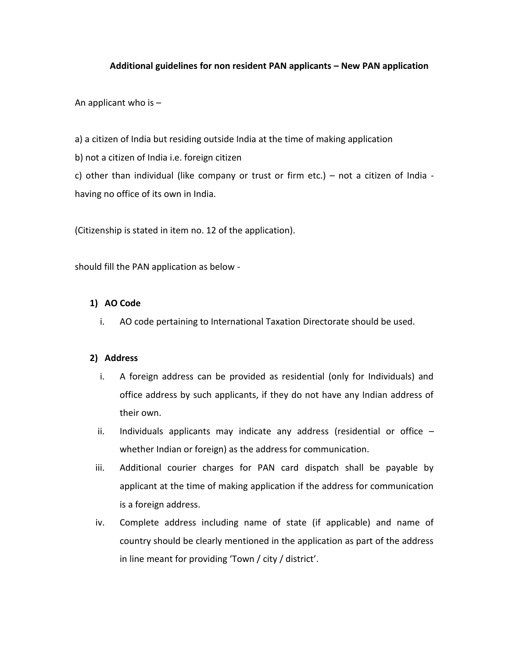## **Additional guidelines for non resident PAN applicants – New PAN application**

An applicant who is  $-$ 

a) a citizen of India but residing outside India at the time of making application

b) not a citizen of India i.e. foreign citizen

c) other than individual (like company or trust or firm etc.) – not a citizen of India having no office of its own in India.

(Citizenship is stated in item no. 12 of the application).

should fill the PAN application as below -

## **1) AO Code**

i. AO code pertaining to International Taxation Directorate should be used.

#### **2) Address**

- i. A foreign address can be provided as residential (only for Individuals) and office address by such applicants, if they do not have any Indian address of their own.
- ii. Individuals applicants may indicate any address (residential or office whether Indian or foreign) as the address for communication.
- iii. Additional courier charges for PAN card dispatch shall be payable by applicant at the time of making application if the address for communication is a foreign address.
- iv. Complete address including name of state (if applicable) and name of country should be clearly mentioned in the application as part of the address in line meant for providing 'Town / city / district'.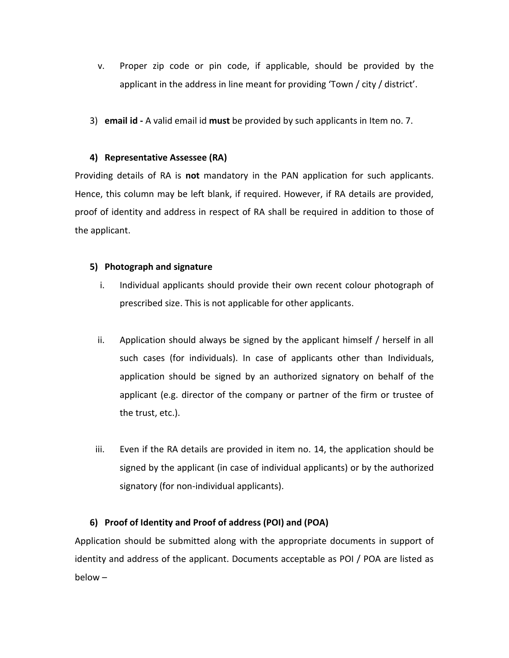- v. Proper zip code or pin code, if applicable, should be provided by the applicant in the address in line meant for providing 'Town / city / district'.
- 3) **email id -** A valid email id **must** be provided by such applicants in Item no. 7.

## **4) Representative Assessee (RA)**

Providing details of RA is **not** mandatory in the PAN application for such applicants. Hence, this column may be left blank, if required. However, if RA details are provided, proof of identity and address in respect of RA shall be required in addition to those of the applicant.

## **5) Photograph and signature**

- i. Individual applicants should provide their own recent colour photograph of prescribed size. This is not applicable for other applicants.
- ii. Application should always be signed by the applicant himself / herself in all such cases (for individuals). In case of applicants other than Individuals, application should be signed by an authorized signatory on behalf of the applicant (e.g. director of the company or partner of the firm or trustee of the trust, etc.).
- iii. Even if the RA details are provided in item no. 14, the application should be signed by the applicant (in case of individual applicants) or by the authorized signatory (for non-individual applicants).

# **6) Proof of Identity and Proof of address (POI) and (POA)**

Application should be submitted along with the appropriate documents in support of identity and address of the applicant. Documents acceptable as POI / POA are listed as below –